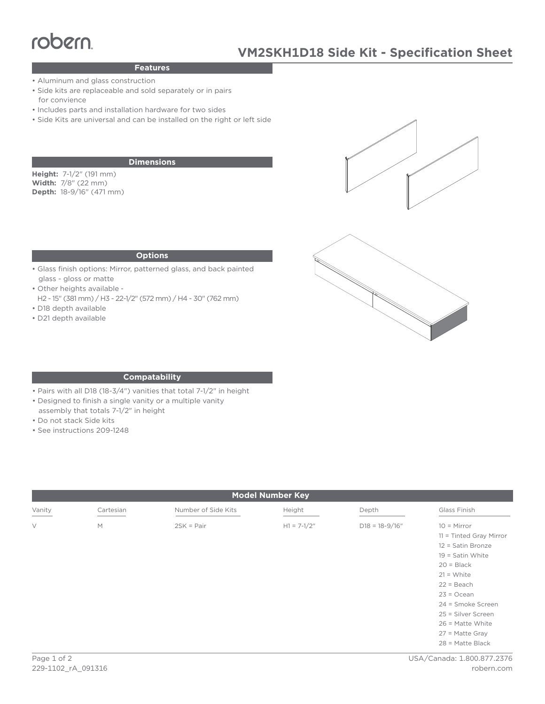# robern

## **Features**

- Aluminum and glass construction
- **Features**<br>
 Aluminum and glass construction<br>
 Side kits are replaceable and sold separately or in pair<br>
for convience<br>
 Includes parts and installation bardware for two sides • Side kits are replaceable and sold separately or in pairs for convience
	- Includes parts and installation hardware for two sides
	- Side Kits are universal and can be installed on the right or left side

#### **Dimensions**

**Height:** 7-1/2" (191 mm) **Width:** 7/8" (22 mm) **Depth:** 18-9/16" (471 mm)





#### **Options**

- Glass finish options: Mirror, patterned glass, and back painted glass - gloss or matte
- Other heights available -
- H2 15" (381 mm) / H3 22-1/2" (572 mm) / H4 30" (762 mm) • D18 depth available
- 
- D21 depth available

#### **Compatability**

- Pairs with all D18 (18-3/4") vanities that total 7-1/2" in height
- Designed to finish a single vanity or a multiple vanity
- assembly that totals 7-1/2" in height
- Do not stack Side kits
- See instructions 209-1248

| <b>Model Number Key</b> |           |                     |               |                    |                                                                                                                                                                                                                                                                 |
|-------------------------|-----------|---------------------|---------------|--------------------|-----------------------------------------------------------------------------------------------------------------------------------------------------------------------------------------------------------------------------------------------------------------|
| Vanity                  | Cartesian | Number of Side Kits | Height        | Depth              | Glass Finish                                                                                                                                                                                                                                                    |
| $\vee$                  | M         | $2SK = Pair$        | $H1 = 7-1/2"$ | $D18 = 18 - 9/16"$ | $10 =$ Mirror<br>11 = Tinted Gray Mirror<br>12 = Satin Bronze<br>$19 =$ Satin White<br>$20 = Black$<br>$21 = White$<br>$22 = Beach$<br>$23 = Ocean$<br>24 = Smoke Screen<br>25 = Silver Screen<br>$26$ = Matte White<br>$27$ = Matte Gray<br>$28$ = Matte Black |